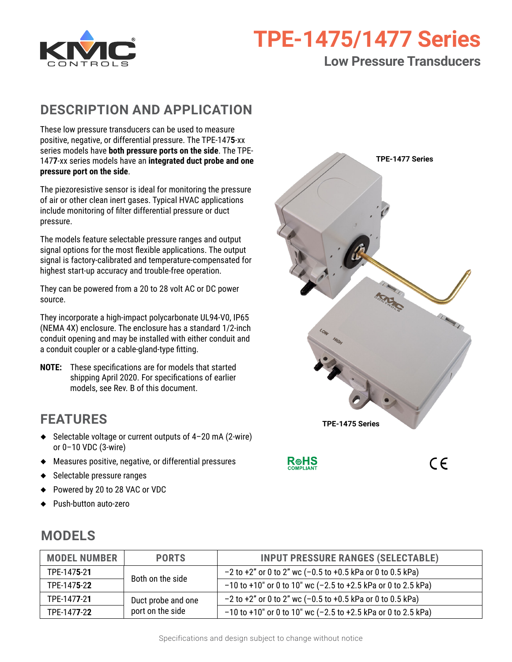

# **TPE-1475/1477 Series**

### **Low Pressure Transducers**

### **DESCRIPTION AND APPLICATION**

These low pressure transducers can be used to measure positive, negative, or differential pressure. The TPE-147**5**-xx series models have **both pressure ports on the side**. The TPE-147**7**-xx series models have an **integrated duct probe and one pressure port on the side**.

The piezoresistive sensor is ideal for monitoring the pressure of air or other clean inert gases. Typical HVAC applications include monitoring of filter differential pressure or duct pressure.

The models feature selectable pressure ranges and output signal options for the most flexible applications. The output signal is factory-calibrated and temperature-compensated for highest start-up accuracy and trouble-free operation.

They can be powered from a 20 to 28 volt AC or DC power source.

They incorporate a high-impact polycarbonate UL94-V0, IP65 (NEMA 4X) enclosure. The enclosure has a standard 1/2-inch conduit opening and may be installed with either conduit and a conduit coupler or a cable-gland-type fitting.

**NOTE:** These specifications are for models that started shipping April 2020. For specifications of earlier models, see Rev. B of this document.

## **FEATURES**

- ◆ Selectable voltage or current outputs of 4–20 mA (2-wire) or 0–10 VDC (3-wire)
- ◆ Measures positive, negative, or differential pressures
- ◆ Selectable pressure ranges
- ◆ Powered by 20 to 28 VAC or VDC
- ◆ Push-button auto-zero

# **TPE-1475 Series TPE-1477 Series**

**ROHS** 

 $C \in$ 

| <b>MODEL NUMBER</b>  | <b>PORTS</b>                           | <b>INPUT PRESSURE RANGES (SELECTABLE)</b>                         |
|----------------------|----------------------------------------|-------------------------------------------------------------------|
| TPE-147 <b>5</b> -21 | Both on the side                       | $-2$ to +2" or 0 to 2" wc (-0.5 to +0.5 kPa or 0 to 0.5 kPa)      |
| TPE-1475-22          |                                        | $-10$ to +10" or 0 to 10" wc (-2.5 to +2.5 kPa or 0 to 2.5 kPa)   |
| TPE-1477-21          | Duct probe and one<br>port on the side | $-2$ to $+2$ " or 0 to 2" wc (-0.5 to $+0.5$ kPa or 0 to 0.5 kPa) |
| TPE-1477-22          |                                        | $-10$ to +10" or 0 to 10" wc (-2.5 to +2.5 kPa or 0 to 2.5 kPa)   |

## <span id="page-0-0"></span>**MODELS**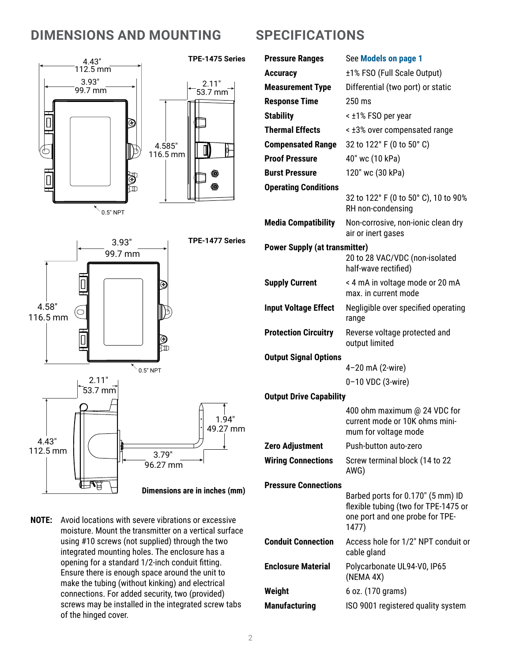### **DIMENSIONS AND MOUNTING**



**NOTE:** Avoid locations with severe vibrations or excessive moisture. Mount the transmitter on a vertical surface using #10 screws (not supplied) through the two integrated mounting holes. The enclosure has a opening for a standard 1/2-inch conduit fitting. Ensure there is enough space around the unit to make the tubing (without kinking) and electrical connections. For added security, two (provided) screws may be installed in the integrated screw tabs of the hinged cover.

### **SPECIFICATIONS**

| <b>Pressure Ranges</b>               | See Models on page 1                                                                                                  |  |
|--------------------------------------|-----------------------------------------------------------------------------------------------------------------------|--|
| <b>Accuracy</b>                      | ±1% FSO (Full Scale Output)                                                                                           |  |
| <b>Measurement Type</b>              | Differential (two port) or static                                                                                     |  |
| <b>Response Time</b>                 | $250 \text{ ms}$                                                                                                      |  |
| <b>Stability</b>                     | < ±1% FSO per year                                                                                                    |  |
| <b>Thermal Effects</b>               | < ±3% over compensated range                                                                                          |  |
| <b>Compensated Range</b>             | 32 to 122° F (0 to 50° C)                                                                                             |  |
| <b>Proof Pressure</b>                | 40" wc (10 kPa)                                                                                                       |  |
| <b>Burst Pressure</b>                | 120" wc (30 kPa)                                                                                                      |  |
| <b>Operating Conditions</b>          |                                                                                                                       |  |
|                                      | 32 to 122° F (0 to 50° C), 10 to 90%<br>RH non-condensing                                                             |  |
| <b>Media Compatibility</b>           | Non-corrosive, non-ionic clean dry<br>air or inert gases                                                              |  |
| <b>Power Supply (at transmitter)</b> |                                                                                                                       |  |
|                                      | 20 to 28 VAC/VDC (non-isolated<br>half-wave rectified)                                                                |  |
| <b>Supply Current</b>                | < 4 mA in voltage mode or 20 mA<br>max, in current mode                                                               |  |
| <b>Input Voltage Effect</b>          | Negligible over specified operating<br>range                                                                          |  |
| <b>Protection Circuitry</b>          | Reverse voltage protected and<br>output limited                                                                       |  |
| <b>Output Signal Options</b>         |                                                                                                                       |  |
|                                      | 4-20 mA (2-wire)                                                                                                      |  |
|                                      | 0-10 VDC (3-wire)                                                                                                     |  |
| <b>Output Drive Capability</b>       |                                                                                                                       |  |
|                                      | 400 ohm maximum @ 24 VDC for<br>current mode or 10K ohms mini-<br>mum for voltage mode                                |  |
| <b>Zero Adjustment</b>               | Push-button auto-zero                                                                                                 |  |
| <b>Wiring Connections</b>            | Screw terminal block (14 to 22<br>AWG)                                                                                |  |
| <b>Pressure Connections</b>          |                                                                                                                       |  |
|                                      | Barbed ports for 0.170" (5 mm) ID<br>flexible tubing (two for TPE-1475 or<br>one port and one probe for TPE-<br>1477) |  |
| <b>Conduit Connection</b>            | Access hole for 1/2" NPT conduit or<br>cable gland                                                                    |  |
| <b>Enclosure Material</b>            | Polycarbonate UL94-V0, IP65<br>(NEMA 4X)                                                                              |  |
| Weight                               | 6 oz. (170 grams)                                                                                                     |  |
| <b>Manufacturing</b>                 | ISO 9001 registered quality system                                                                                    |  |